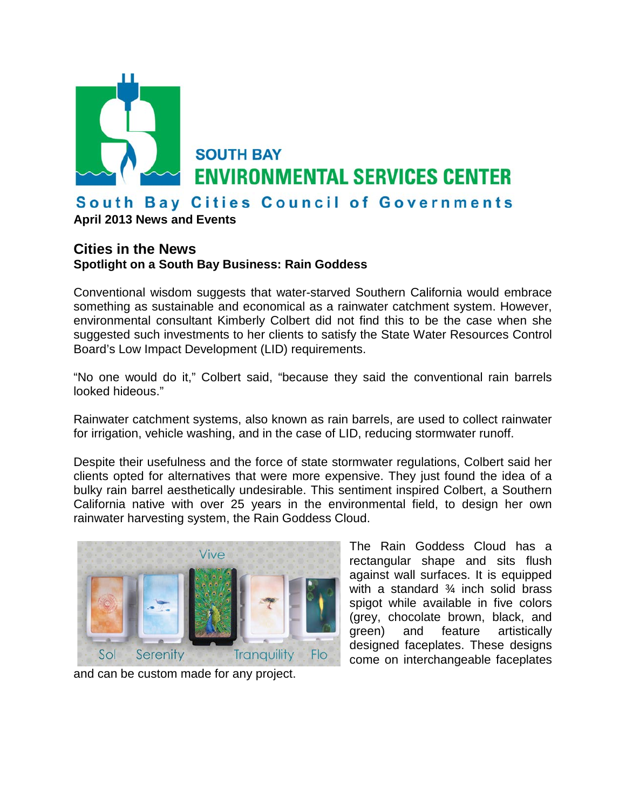

**April 2013 News and Events**

## **Cities in the News**

**Spotlight on a South Bay Business: Rain Goddess**

Conventional wisdom suggests that water-starved Southern California would embrace something as sustainable and economical as a rainwater catchment system. However, environmental consultant Kimberly Colbert did not find this to be the case when she suggested such investments to her clients to satisfy the State Water Resources Control Board's Low Impact Development (LID) requirements.

"No one would do it," Colbert said, "because they said the conventional rain barrels looked hideous."

Rainwater catchment systems, also known as rain barrels, are used to collect rainwater for irrigation, vehicle washing, and in the case of LID, reducing stormwater runoff.

Despite their usefulness and the force of state stormwater regulations, Colbert said her clients opted for alternatives that were more expensive. They just found the idea of a bulky rain barrel aesthetically undesirable. This sentiment inspired Colbert, a Southern California native with over 25 years in the environmental field, to design her own rainwater harvesting system, the Rain Goddess Cloud.



and can be custom made for any project.

The Rain Goddess Cloud has a rectangular shape and sits flush against wall surfaces. It is equipped with a standard ¾ inch solid brass spigot while available in five colors (grey, chocolate brown, black, and green) and feature artistically designed faceplates. These designs come on interchangeable faceplates